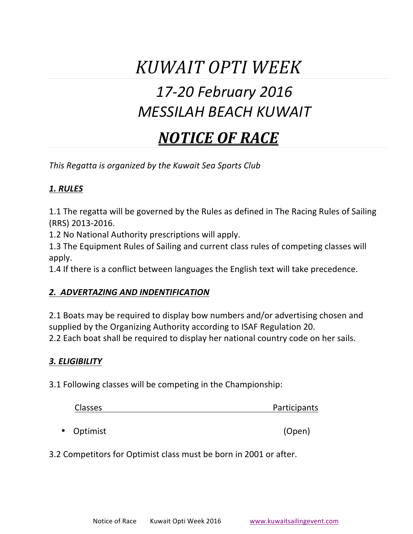# *KUWAIT OPTI WEEK*

## *17-20 February 2016 MESSILAH BEACH KUWAIT*

## *NOTICE OF RACE*

This Regatta is organized by the *Kuwait* Sea Sports Club

## *1. RULES*

1.1 The regatta will be governed by the Rules as defined in The Racing Rules of Sailing (RRS) 2013-2016.

1.2 No National Authority prescriptions will apply.

1.3 The Equipment Rules of Sailing and current class rules of competing classes will apply.

1.4 If there is a conflict between languages the English text will take precedence.

#### *2. ADVERTAZING AND INDENTIFICATION*

2.1 Boats may be required to display bow numbers and/or advertising chosen and supplied by the Organizing Authority according to ISAF Regulation 20.

2.2 Each boat shall be required to display her national country code on her sails.

#### *3. ELIGIBILITY*

3.1 Following classes will be competing in the Championship:

| <b>Classes</b> | Participants |
|----------------|--------------|
|                |              |
| • Optimist     | (Open)       |

3.2 Competitors for Optimist class must be born in 2001 or after.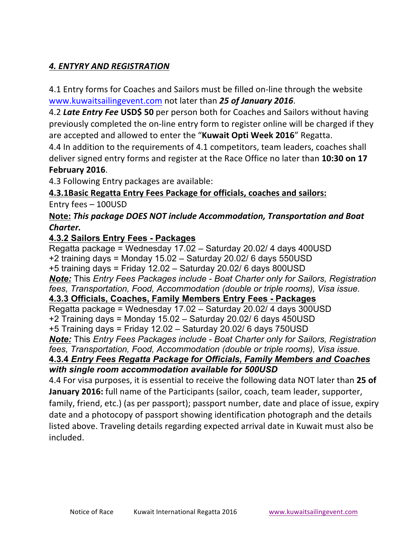## *4. ENTYRY AND REGISTRATION*

4.1 Entry forms for Coaches and Sailors must be filled on-line through the website www.kuwaitsailingevent.com not later than 25 of January 2016.

4.2 Late Entry Fee USD\$ 50 per person both for Coaches and Sailors without having previously completed the on-line entry form to register online will be charged if they are accepted and allowed to enter the "Kuwait Opti Week 2016" Regatta.

4.4 In addition to the requirements of 4.1 competitors, team leaders, coaches shall deliver signed entry forms and register at the Race Office no later than **10:30 on 17 February 2016**. 

4.3 Following Entry packages are available:

## **4.3.1Basic Regatta Entry Fees Package for officials, coaches and sailors:**

Entry  $fees - 100USD$ 

#### **Note: This package DOES NOT include Accommodation, Transportation and Boat** Charter.

#### **4.3.2 Sailors Entry Fees - Packages**

Regatta package = Wednesday 17.02 – Saturday 20.02/ 4 days 400USD +2 training days = Monday 15.02 – Saturday 20.02/ 6 days 550USD +5 training days = Friday 12.02 – Saturday 20.02/ 6 days 800USD *Note:* This *Entry Fees Packages include - Boat Charter only for Sailors, Registration fees, Transportation, Food, Accommodation (double or triple rooms), Visa issue.*  **4.3.3 Officials, Coaches, Family Members Entry Fees - Packages** Regatta package = Wednesday 17.02 – Saturday 20.02/ 4 days 300USD +2 Training days = Monday 15.02 – Saturday 20.02/ 6 days 450USD +5 Training days = Friday 12.02 – Saturday 20.02/ 6 days 750USD *Note:* This *Entry Fees Packages include - Boat Charter only for Sailors, Registration fees, Transportation, Food, Accommodation (double or triple rooms), Visa issue.* 

#### **4.3.4** *Entry Fees Regatta Package for Officials, Family Members and Coaches with single room accommodation available for 500USD*

4.4 For visa purposes, it is essential to receive the following data NOT later than 25 of **January 2016:** full name of the Participants (sailor, coach, team leader, supporter, family, friend, etc.) (as per passport); passport number, date and place of issue, expiry date and a photocopy of passport showing identification photograph and the details listed above. Traveling details regarding expected arrival date in Kuwait must also be included.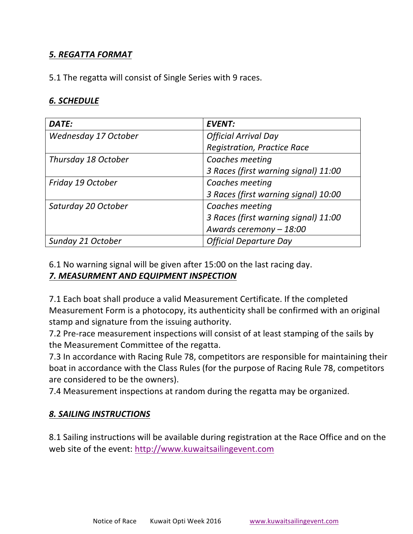## *5. REGATTA FORMAT*

5.1 The regatta will consist of Single Series with 9 races.

#### *6. SCHEDULE*

| DATE:                | <b>EVENT:</b>                        |
|----------------------|--------------------------------------|
| Wednesday 17 October | <b>Official Arrival Day</b>          |
|                      | <b>Registration, Practice Race</b>   |
| Thursday 18 October  | Coaches meeting                      |
|                      | 3 Races (first warning signal) 11:00 |
| Friday 19 October    | Coaches meeting                      |
|                      | 3 Races (first warning signal) 10:00 |
| Saturday 20 October  | Coaches meeting                      |
|                      | 3 Races (first warning signal) 11:00 |
|                      | Awards ceremony - 18:00              |
| Sunday 21 October    | <b>Official Departure Day</b>        |

6.1 No warning signal will be given after 15:00 on the last racing day. **7. MEASURMENT AND EQUIPMENT INSPECTION** 

7.1 Each boat shall produce a valid Measurement Certificate. If the completed Measurement Form is a photocopy, its authenticity shall be confirmed with an original stamp and signature from the issuing authority.

7.2 Pre-race measurement inspections will consist of at least stamping of the sails by the Measurement Committee of the regatta.

7.3 In accordance with Racing Rule 78, competitors are responsible for maintaining their boat in accordance with the Class Rules (for the purpose of Racing Rule 78, competitors are considered to be the owners).

7.4 Measurement inspections at random during the regatta may be organized.

#### 8. SAILING INSTRUCTIONS

8.1 Sailing instructions will be available during registration at the Race Office and on the web site of the event: http://www.kuwaitsailingevent.com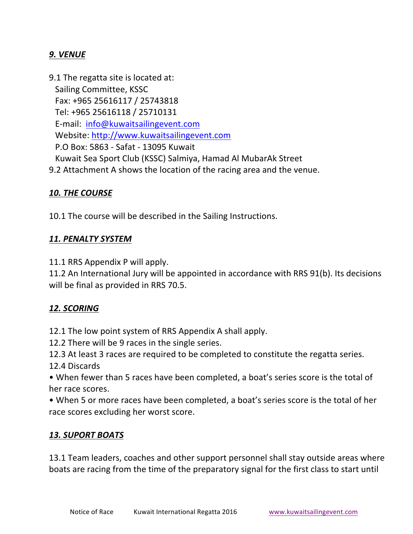## *9. VENUE*

9.1 The regatta site is located at: Sailing Committee, KSSC Fax: +965 25616117 / 25743818 Tel: +965 25616118 / 25710131 E-mail: info@kuwaitsailingevent.com Website: http://www.kuwaitsailingevent.com P.O Box: 5863 - Safat - 13095 Kuwait Kuwait Sea Sport Club (KSSC) Salmiya, Hamad Al MubarAk Street 9.2 Attachment A shows the location of the racing area and the venue.

#### 10. THE COURSE

10.1 The course will be described in the Sailing Instructions.

#### *11. PENALTY SYSTEM*

11.1 RRS Appendix P will apply.

11.2 An International Jury will be appointed in accordance with RRS 91(b). Its decisions will be final as provided in RRS 70.5.

#### 12. SCORING

12.1 The low point system of RRS Appendix A shall apply.

12.2 There will be 9 races in the single series.

12.3 At least 3 races are required to be completed to constitute the regatta series. 12.4 Discards

• When fewer than 5 races have been completed, a boat's series score is the total of her race scores.

• When 5 or more races have been completed, a boat's series score is the total of her race scores excluding her worst score.

#### *13. SUPORT BOATS*

13.1 Team leaders, coaches and other support personnel shall stay outside areas where boats are racing from the time of the preparatory signal for the first class to start until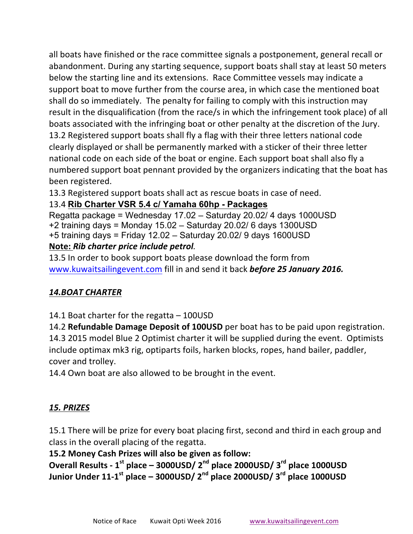all boats have finished or the race committee signals a postponement, general recall or abandonment. During any starting sequence, support boats shall stay at least 50 meters below the starting line and its extensions. Race Committee vessels may indicate a support boat to move further from the course area, in which case the mentioned boat shall do so immediately. The penalty for failing to comply with this instruction may result in the disqualification (from the race/s in which the infringement took place) of all boats associated with the infringing boat or other penalty at the discretion of the Jury. 13.2 Registered support boats shall fly a flag with their three letters national code clearly displayed or shall be permanently marked with a sticker of their three letter national code on each side of the boat or engine. Each support boat shall also fly a numbered support boat pennant provided by the organizers indicating that the boat has been registered.

13.3 Registered support boats shall act as rescue boats in case of need.

## 13.4 **Rib Charter VSR 5.4 c/ Yamaha 60hp - Packages**

Regatta package = Wednesday 17.02 – Saturday 20.02/ 4 days 1000USD +2 training days = Monday 15.02 – Saturday 20.02/ 6 days 1300USD +5 training days = Friday 12.02 – Saturday 20.02/ 9 days 1600USD **Note:** *Rib charter price include petrol.*

13.5 In order to book support boats please download the form from www.kuwaitsailingevent.com fill in and send it back **before 25 January 2016.** 

## *14.BOAT CHARTER*

14.1 Boat charter for the regatta  $-$  100USD

14.2 **Refundable Damage Deposit of 100USD** per boat has to be paid upon registration. 14.3 2015 model Blue 2 Optimist charter it will be supplied during the event. Optimists include optimax mk3 rig, optiparts foils, harken blocks, ropes, hand bailer, paddler, cover and trolley.

14.4 Own boat are also allowed to be brought in the event.

## *15. PRIZES*

15.1 There will be prize for every boat placing first, second and third in each group and class in the overall placing of the regatta.

**15.2 Money Cash Prizes will also be given as follow:**

**Overall Results - 1st place – 3000USD/ 2nd place 2000USD/ 3rd place 1000USD Junior Under 11-1st place – 3000USD/ 2nd place 2000USD/ 3rd place 1000USD**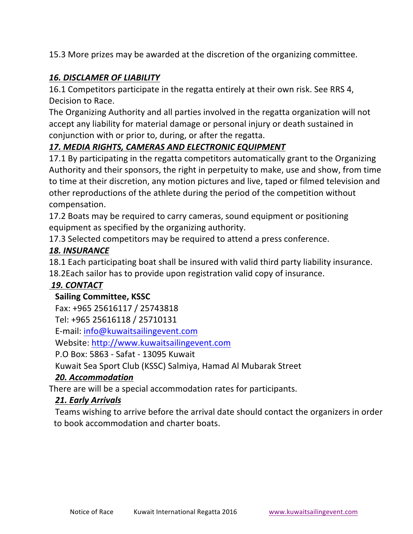15.3 More prizes may be awarded at the discretion of the organizing committee.

## **16. DISCLAMER OF LIABILITY**

16.1 Competitors participate in the regatta entirely at their own risk. See RRS 4, Decision to Race.

The Organizing Authority and all parties involved in the regatta organization will not accept any liability for material damage or personal injury or death sustained in conjunction with or prior to, during, or after the regatta.

## 17. MEDIA RIGHTS, CAMERAS AND ELECTRONIC EQUIPMENT

17.1 By participating in the regatta competitors automatically grant to the Organizing Authority and their sponsors, the right in perpetuity to make, use and show, from time to time at their discretion, any motion pictures and live, taped or filmed television and other reproductions of the athlete during the period of the competition without compensation. 

17.2 Boats may be required to carry cameras, sound equipment or positioning equipment as specified by the organizing authority.

17.3 Selected competitors may be required to attend a press conference.

## *18. INSURANCE*

18.1 Each participating boat shall be insured with valid third party liability insurance.

18.2Each sailor has to provide upon registration valid copy of insurance.

## *19. CONTACT*

## **Sailing Committee, KSSC**

Fax: +965 25616117 / 25743818

Tel: +965 25616118 / 25710131

E-mail: info@kuwaitsailingevent.com

Website: http://www.kuwaitsailingevent.com

P.O Box: 5863 - Safat - 13095 Kuwait

Kuwait Sea Sport Club (KSSC) Salmiya, Hamad Al Mubarak Street

## *20. Accommodation*

There are will be a special accommodation rates for participants.

## *21. Early Arrivals*

Teams wishing to arrive before the arrival date should contact the organizers in order to book accommodation and charter boats.